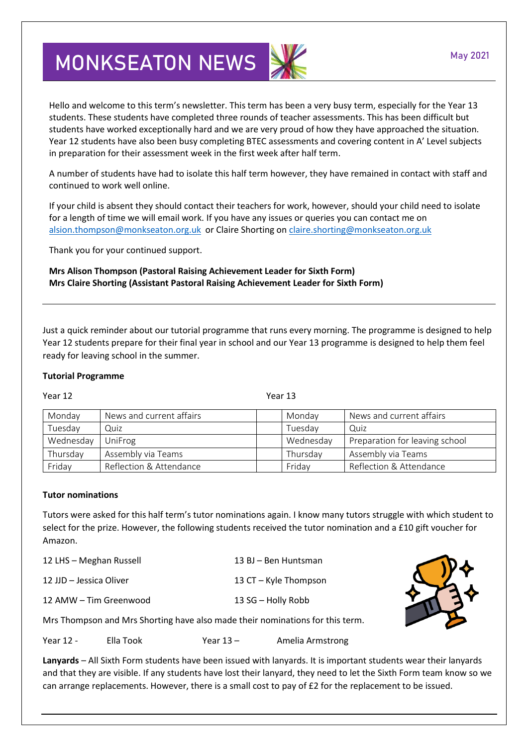## **MONKSEATON NEWS**

Hello and welcome to this term's newsletter. This term has been a very busy term, especially for the Year 13 students. These students have completed three rounds of teacher assessments. This has been difficult but students have worked exceptionally hard and we are very proud of how they have approached the situation. Year 12 students have also been busy completing BTEC assessments and covering content in A' Level subjects in preparation for their assessment week in the first week after half term.

A number of students have had to isolate this half term however, they have remained in contact with staff and continued to work well online.

If your child is absent they should contact their teachers for work, however, should your child need to isolate for a length of time we will email work. If you have any issues or queries you can contact me on [alsion.thompson@monkseaton.org.uk](mailto:alsion.thompson@monkseaton.org.uk) or Claire Shorting on [claire.shorting@monkseaton.org.uk](mailto:claire.shorting@monkseaton.org.uk)

Thank you for your continued support.

**Mrs Alison Thompson (Pastoral Raising Achievement Leader for Sixth Form) Mrs Claire Shorting (Assistant Pastoral Raising Achievement Leader for Sixth Form)**

Just a quick reminder about our tutorial programme that runs every morning. The programme is designed to help Year 12 students prepare for their final year in school and our Year 13 programme is designed to help them feel ready for leaving school in the summer.

## **Tutorial Programme**

Year 12 Year 13

| Monday    | News and current affairs | Monday    | News and current affairs       |
|-----------|--------------------------|-----------|--------------------------------|
| Tuesday   | Quiz                     | Tuesdav   | Quiz                           |
| Wednesday | UniFrog                  | Wednesday | Preparation for leaving school |
| Thursday  | Assembly via Teams       | Thursday  | Assembly via Teams             |
| Friday    | Reflection & Attendance  | Friday    | Reflection & Attendance        |

## **Tutor nominations**

Tutors were asked for this half term's tutor nominations again. I know many tutors struggle with which student to select for the prize. However, the following students received the tutor nomination and a £10 gift voucher for Amazon.

| 12 LHS - Meghan Russell | 13 BJ - Ben Huntsman  |       |
|-------------------------|-----------------------|-------|
| 12 JJD - Jessica Oliver | 13 CT - Kyle Thompson |       |
| 12 AMW - Tim Greenwood  | 13 SG - Holly Robb    | \$734 |
|                         |                       |       |

Mrs Thompson and Mrs Shorting have also made their nominations for this term.

Year 12 - Ella Took Year 13 - Amelia Armstrong

**Lanyards** – All Sixth Form students have been issued with lanyards. It is important students wear their lanyards and that they are visible. If any students have lost their lanyard, they need to let the Sixth Form team know so we can arrange replacements. However, there is a small cost to pay of £2 for the replacement to be issued.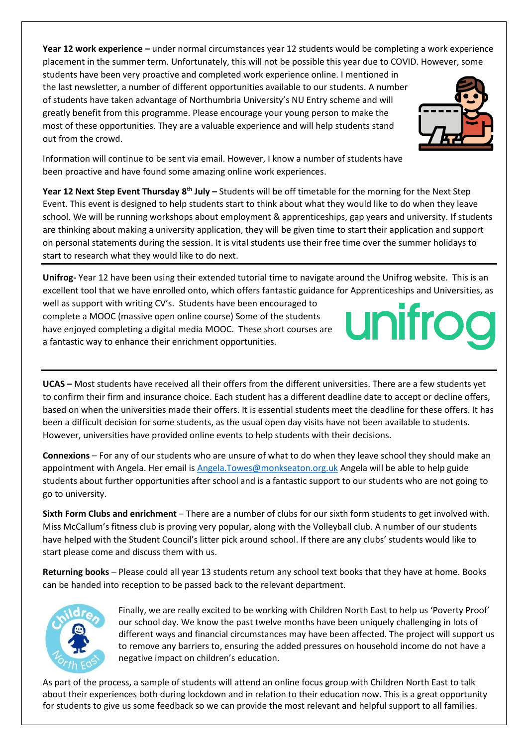**Year 12 work experience –** under normal circumstances year 12 students would be completing a work experience placement in the summer term. Unfortunately, this will not be possible this year due to COVID. However, some

students have been very proactive and completed work experience online. I mentioned in the last newsletter, a number of different opportunities available to our students. A number of students have taken advantage of Northumbria University's NU Entry scheme and will greatly benefit from this programme. Please encourage your young person to make the most of these opportunities. They are a valuable experience and will help students stand out from the crowd.

Information will continue to be sent via email. However, I know a number of students have been proactive and have found some amazing online work experiences.

**Year 12 Next Step Event Thursday 8th July –** Students will be off timetable for the morning for the Next Step Event. This event is designed to help students start to think about what they would like to do when they leave school. We will be running workshops about employment & apprenticeships, gap years and university. If students are thinking about making a university application, they will be given time to start their application and support on personal statements during the session. It is vital students use their free time over the summer holidays to start to research what they would like to do next.

**Unifrog-** Year 12 have been using their extended tutorial time to navigate around the Unifrog website. This is an excellent tool that we have enrolled onto, which offers fantastic guidance for Apprenticeships and Universities, as

well as support with writing CV's. Students have been encouraged to complete a MOOC (massive open online course) Some of the students have enjoyed completing a digital media MOOC. These short courses are a fantastic way to enhance their enrichment opportunities.

**UCAS –** Most students have received all their offers from the different universities. There are a few students yet to confirm their firm and insurance choice. Each student has a different deadline date to accept or decline offers, based on when the universities made their offers. It is essential students meet the deadline for these offers. It has been a difficult decision for some students, as the usual open day visits have not been available to students. However, universities have provided online events to help students with their decisions.

**Connexions** – For any of our students who are unsure of what to do when they leave school they should make an appointment with Angela. Her email is [Angela.Towes@monkseaton.org.uk](mailto:Angela.Towes@monkseaton.org.uk) Angela will be able to help guide students about further opportunities after school and is a fantastic support to our students who are not going to go to university.

**Sixth Form Clubs and enrichment** – There are a number of clubs for our sixth form students to get involved with. Miss McCallum's fitness club is proving very popular, along with the Volleyball club. A number of our students have helped with the Student Council's litter pick around school. If there are any clubs' students would like to start please come and discuss them with us.

**Returning books** – Please could all year 13 students return any school text books that they have at home. Books can be handed into reception to be passed back to the relevant department.



Finally, we are really excited to be working with Children North East to help us 'Poverty Proof' our school day. We know the past twelve months have been uniquely challenging in lots of different ways and financial circumstances may have been affected. The project will support us to remove any barriers to, ensuring the added pressures on household income do not have a negative impact on children's education.

As part of the process, a sample of students will attend an online focus group with Children North East to talk about their experiences both during lockdown and in relation to their education now. This is a great opportunity for students to give us some feedback so we can provide the most relevant and helpful support to all families.